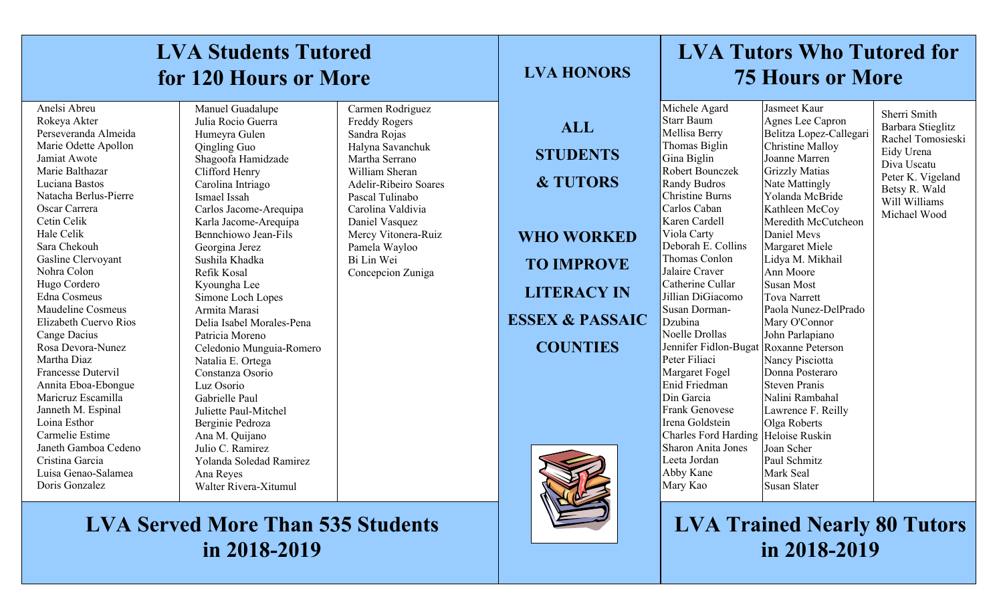| <b>LVA Students Tutored</b><br>for 120 Hours or More                                                                                                                                                                                                                                                                                                                                                                                                                                                                                                                                                                   |                                                                                                                                                                                                                                                                                                                                                                                                                                                                                                                                                                                                                                                   |                                                                                                                                                                                                                                                                                       | <b>LVA HONORS</b>                                                                                                                                                     | <b>LVA Tutors Who Tutored for</b><br><b>75 Hours or More</b>                                                                                                                                                                                                                                                                                                                                                                                                                                                                                                                                         |                                                                                                                                                                                                                                                                                                                                                                                                                                                                                                                                                                    |                                                                                                                                                            |
|------------------------------------------------------------------------------------------------------------------------------------------------------------------------------------------------------------------------------------------------------------------------------------------------------------------------------------------------------------------------------------------------------------------------------------------------------------------------------------------------------------------------------------------------------------------------------------------------------------------------|---------------------------------------------------------------------------------------------------------------------------------------------------------------------------------------------------------------------------------------------------------------------------------------------------------------------------------------------------------------------------------------------------------------------------------------------------------------------------------------------------------------------------------------------------------------------------------------------------------------------------------------------------|---------------------------------------------------------------------------------------------------------------------------------------------------------------------------------------------------------------------------------------------------------------------------------------|-----------------------------------------------------------------------------------------------------------------------------------------------------------------------|------------------------------------------------------------------------------------------------------------------------------------------------------------------------------------------------------------------------------------------------------------------------------------------------------------------------------------------------------------------------------------------------------------------------------------------------------------------------------------------------------------------------------------------------------------------------------------------------------|--------------------------------------------------------------------------------------------------------------------------------------------------------------------------------------------------------------------------------------------------------------------------------------------------------------------------------------------------------------------------------------------------------------------------------------------------------------------------------------------------------------------------------------------------------------------|------------------------------------------------------------------------------------------------------------------------------------------------------------|
| Anelsi Abreu<br>Rokeya Akter<br>Perseveranda Almeida<br>Marie Odette Apollon<br>Jamiat Awote<br>Marie Balthazar<br>Luciana Bastos<br>Natacha Berlus-Pierre<br>Oscar Carrera<br>Cetin Celik<br>Hale Celik<br>Sara Chekouh<br>Gasline Clervoyant<br>Nohra Colon<br>Hugo Cordero<br>Edna Cosmeus<br>Maudeline Cosmeus<br>Elizabeth Cuervo Rios<br>Cange Dacius<br>Rosa Devora-Nunez<br>Martha Diaz<br><b>Francesse Dutervil</b><br>Annita Eboa-Ebongue<br>Maricruz Escamilla<br>Janneth M. Espinal<br>Loina Esthor<br>Carmelie Estime<br>Janeth Gamboa Cedeno<br>Cristina Garcia<br>Luisa Genao-Salamea<br>Doris Gonzalez | Manuel Guadalupe<br>Julia Rocio Guerra<br>Humeyra Gulen<br>Qingling Guo<br>Shagoofa Hamidzade<br>Clifford Henry<br>Carolina Intriago<br>Ismael Issah<br>Carlos Jacome-Arequipa<br>Karla Jacome-Arequipa<br>Bennchiowo Jean-Fils<br>Georgina Jerez<br>Sushila Khadka<br>Refik Kosal<br>Kyoungha Lee<br>Simone Loch Lopes<br>Armita Marasi<br>Delia Isabel Morales-Pena<br>Patricia Moreno<br>Celedonio Munguia-Romero<br>Natalia E. Ortega<br>Constanza Osorio<br>Luz Osorio<br>Gabrielle Paul<br>Juliette Paul-Mitchel<br>Berginie Pedroza<br>Ana M. Quijano<br>Julio C. Ramirez<br>Yolanda Soledad Ramirez<br>Ana Reyes<br>Walter Rivera-Xitumul | Carmen Rodriguez<br><b>Freddy Rogers</b><br>Sandra Rojas<br>Halyna Savanchuk<br>Martha Serrano<br>William Sheran<br><b>Adelir-Ribeiro Soares</b><br>Pascal Tulinabo<br>Carolina Valdivia<br>Daniel Vasquez<br>Mercy Vitonera-Ruiz<br>Pamela Wayloo<br>Bi Lin Wei<br>Concepcion Zuniga | <b>ALL</b><br><b>STUDENTS</b><br><b>&amp; TUTORS</b><br><b>WHO WORKED</b><br><b>TO IMPROVE</b><br><b>LITERACY IN</b><br><b>ESSEX &amp; PASSAIC</b><br><b>COUNTIES</b> | Michele Agard<br><b>Starr Baum</b><br>Mellisa Berry<br>Thomas Biglin<br>Gina Biglin<br>Robert Bounczek<br>Randy Budros<br><b>Christine Burns</b><br>Carlos Caban<br>Karen Cardell<br>Viola Carty<br>Deborah E. Collins<br>Thomas Conlon<br>Jalaire Craver<br>Catherine Cullar<br>Jillian DiGiacomo<br>Susan Dorman-<br>Dzubina<br>Noelle Drollas<br>Jennifer Fidlon-Bugat<br>Peter Filiaci<br>Margaret Fogel<br>Enid Friedman<br>Din Garcia<br><b>Frank Genovese</b><br>Irena Goldstein<br>Charles Ford Harding Heloise Ruskin<br><b>Sharon Anita Jones</b><br>Leeta Jordan<br>Abby Kane<br>Mary Kao | Jasmeet Kaur<br>Agnes Lee Capron<br>Belitza Lopez-Callegari<br>Christine Malloy<br>Joanne Marren<br>Grizzly Matias<br>Nate Mattingly<br>Yolanda McBride<br>Kathleen McCoy<br>Meredith McCutcheon<br>Daniel Meys<br>Margaret Miele<br>Lidya M. Mikhail<br>Ann Moore<br>Susan Most<br>Tova Narrett<br>Paola Nunez-DelPrado<br>Mary O'Connor<br>John Parlapiano<br>Roxanne Peterson<br>Nancy Pisciotta<br>Donna Posteraro<br>Steven Pranis<br>Nalini Rambahal<br>Lawrence F. Reilly<br>Olga Roberts<br>Joan Scher<br>Paul Schmitz<br>Mark Seal<br><b>Susan Slater</b> | Sherri Smith<br>Barbara Stieglitz<br>Rachel Tomosieski<br>Eidy Urena<br>Diva Uscatu<br>Peter K. Vigeland<br>Betsy R. Wald<br>Will Williams<br>Michael Wood |

# **LVA Served More Than 535 Students in 2018-2019**